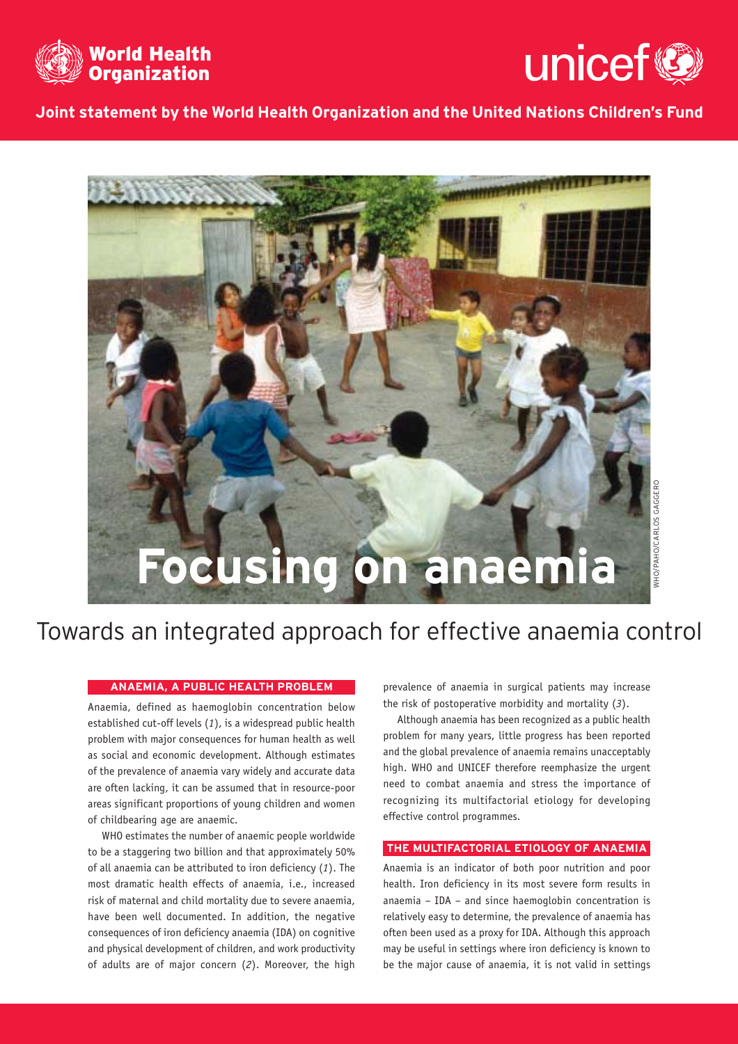



**Joint statement by the World Health Organization and the United Nations Children's Fund**



## **ANAEMIA, A PUBLIC HEALTH PROBLEM**

Anaemia, defined as haemoglobin concentration below established cut-off levels (*1*), is a widespread public health problem with major consequences for human health as well as social and economic development. Although estimates of the prevalence of anaemia vary widely and accurate data are often lacking, it can be assumed that in resource-poor areas significant proportions of young children and women of childbearing age are anaemic.

WHO estimates the number of anaemic people worldwide to be a staggering two billion and that approximately 50% of all anaemia can be attributed to iron deficiency (*1*). The most dramatic health effects of anaemia, i.e., increased risk of maternal and child mortality due to severe anaemia, have been well documented. In addition, the negative consequences of iron deficiency anaemia (IDA) on cognitive and physical development of children, and work productivity of adults are of major concern (*2*). Moreover, the high prevalence of anaemia in surgical patients may increase the risk of postoperative morbidity and mortality (*3*).

Although anaemia has been recognized as a public health problem for many years, little progress has been reported and the global prevalence of anaemia remains unacceptably high. WHO and UNICEF therefore reemphasize the urgent need to combat anaemia and stress the importance of recognizing its multifactorial etiology for developing effective control programmes.

# **THE MULTIFACTORIAL ETIOLOGY OF ANAEMIA**

Anaemia is an indicator of both poor nutrition and poor health. Iron deficiency in its most severe form results in anaemia – IDA – and since haemoglobin concentration is relatively easy to determine, the prevalence of anaemia has often been used as a proxy for IDA. Although this approach may be useful in settings where iron deficiency is known to be the major cause of anaemia, it is not valid in settings